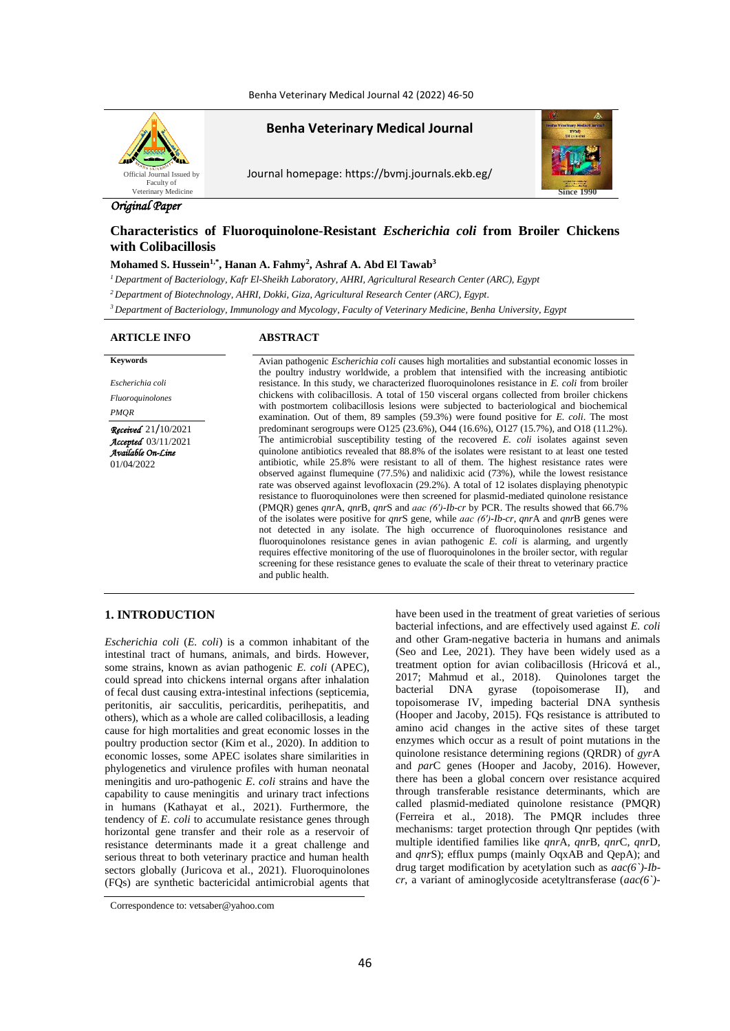Benha Veterinary Medical Journal 42 (2022) 46-50



**Benha Veterinary Medical Journal**

Journal homepage: https://bvmj.journals.ekb.eg/



# *Original Paper*

# **Characteristics of Fluoroquinolone-Resistant** *Escherichia coli* **from Broiler Chickens with Colibacillosis**

## **Mohamed S. Hussein1,\* , Hanan A. Fahmy<sup>2</sup> , Ashraf A. Abd El Tawab<sup>3</sup>**

*<sup>1</sup>Department of Bacteriology, Kafr El-Sheikh Laboratory, AHRI, Agricultural Research Center (ARC), Egypt*

*<sup>2</sup>Department of Biotechnology, AHRI, Dokki, Giza, Agricultural Research Center (ARC), Egypt.*

*<sup>3</sup>Department of Bacteriology, Immunology and Mycology, Faculty of Veterinary Medicine, Benha University, Egypt*

# **ARTICLE INFO ABSTRACT**

**Keywords** Avian pathogenic *Escherichia coli* causes high mortalities and substantial economic losses in *Escherichia coli Fluoroquinolones PMQR Received*21/10/2021 *Accepted*03/11/2021 *Available On-Line*

01/04/2022

resistance. In this study, we characterized fluoroquinolones resistance in *E. coli* from broiler chickens with colibacillosis. A total of 150 visceral organs collected from broiler chickens with postmortem colibacillosis lesions were subjected to bacteriological and biochemical examination. Out of them, 89 samples (59.3%) were found positive for *E. coli*. The most predominant serogroups were O125 (23.6%), O44 (16.6%), O127 (15.7%), and O18 (11.2%). The antimicrobial susceptibility testing of the recovered *E. coli* isolates against seven quinolone antibiotics revealed that 88.8% of the isolates were resistant to at least one tested antibiotic, while 25.8% were resistant to all of them. The highest resistance rates were observed against flumequine (77.5%) and nalidixic acid (73%), while the lowest resistance rate was observed against levofloxacin (29.2%). A total of 12 isolates displaying phenotypic resistance to fluoroquinolones were then screened for plasmid-mediated quinolone resistance (PMQR) genes *qnr*A, *qnr*B, *qnr*S and *aac (6′)-Ib-cr* by PCR. The results showed that 66.7% of the isolates were positive for *qnr*S gene, while *aac (6′)-Ib-cr*, *qnr*A and *qnr*B genes were not detected in any isolate. The high occurrence of fluoroquinolones resistance and fluoroquinolones resistance genes in avian pathogenic *E. coli* is alarming, and urgently requires effective monitoring of the use of fluoroquinolones in the broiler sector, with regular screening for these resistance genes to evaluate the scale of their threat to veterinary practice and public health.

the poultry industry worldwide, a problem that intensified with the increasing antibiotic

#### **1. INTRODUCTION**

*Escherichia coli* (*E. coli*) is a common inhabitant of the intestinal tract of humans, animals, and birds. However, some strains, known as avian pathogenic *E. coli* (APEC), could spread into chickens internal organs after inhalation of fecal dust causing extra-intestinal infections (septicemia, peritonitis, air sacculitis, pericarditis, perihepatitis, and others), which as a whole are called colibacillosis, a leading cause for high mortalities and great economic losses in the poultry production sector (Kim et al., 2020). In addition to economic losses, some APEC isolates share similarities in phylogenetics and virulence profiles with human neonatal meningitis and uro-pathogenic *E*. *coli* strains and have the capability to cause meningitis and urinary tract infections in humans (Kathayat et al., 2021). Furthermore, the tendency of *E. coli* to accumulate resistance genes through horizontal gene transfer and their role as a reservoir of resistance determinants made it a great challenge and serious threat to both veterinary practice and human health sectors globally (Juricova et al., 2021). Fluoroquinolones (FQs) are synthetic bactericidal antimicrobial agents that have been used in the treatment of great varieties of serious bacterial infections, and are effectively used against *E. coli* and other Gram-negative bacteria in humans and animals (Seo and Lee, 2021). They have been widely used as a treatment option for avian colibacillosis (Hricová et al., 2017; Mahmud et al., 2018). Quinolones target the bacterial DNA gyrase (topoisomerase II), and topoisomerase IV, impeding bacterial DNA synthesis (Hooper and Jacoby, 2015). FQs resistance is attributed to amino acid changes in the active sites of these target enzymes which occur as a result of point mutations in the quinolone resistance determining regions (QRDR) of *gyr*A and *par*C genes (Hooper and Jacoby, 2016). However, there has been a global concern over resistance acquired through transferable resistance determinants, which are called plasmid-mediated quinolone resistance (PMQR) (Ferreira et al., 2018). The PMQR includes three mechanisms: target protection through Qnr peptides (with multiple identified families like *qnr*A*, qnr*B*, qnr*C*, qnr*D*,*  and *qnr*S); efflux pumps (mainly OqxAB and QepA); and drug target modification by acetylation such as *aac(6`)-Ibcr*, a variant of aminoglycoside acetyltransferase (*aac(6`)-*

Correspondence to: vetsaber@yahoo.com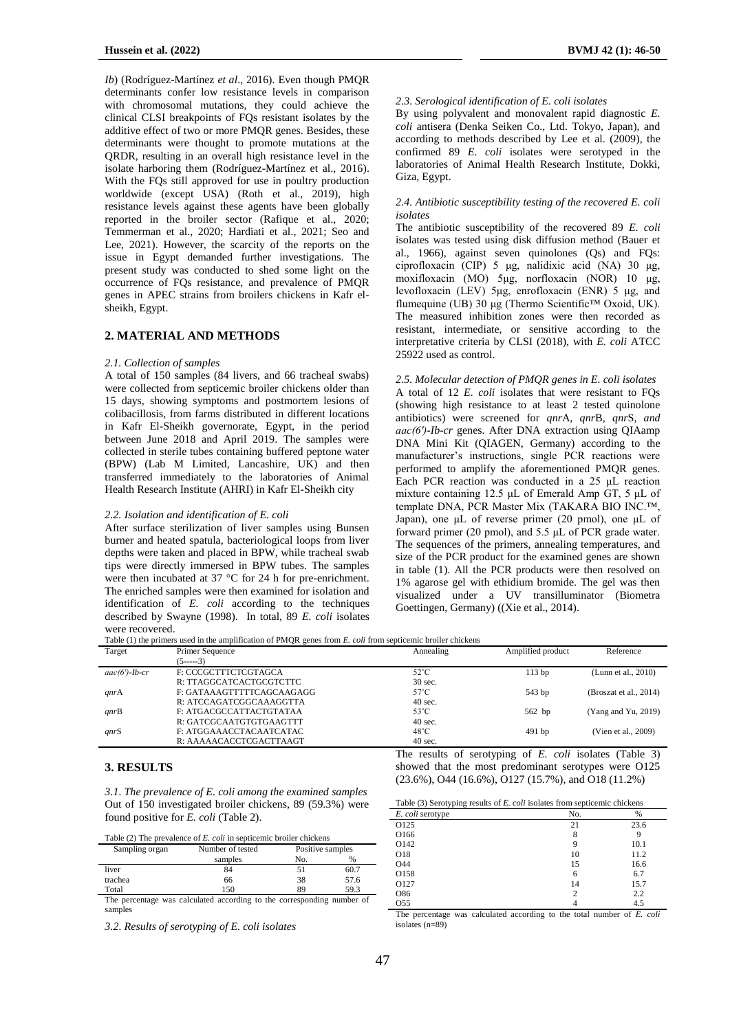*Ib*) (Rodríguez-Martínez *et al*., 2016). Even though PMQR determinants confer low resistance levels in comparison with chromosomal mutations, they could achieve the clinical CLSI breakpoints of FQs resistant isolates by the additive effect of two or more PMQR genes. Besides, these determinants were thought to promote mutations at the QRDR, resulting in an overall high resistance level in the isolate harboring them (Rodríguez-Martínez et al., 2016). With the FQs still approved for use in poultry production worldwide (except USA) (Roth et al., 2019), high resistance levels against these agents have been globally reported in the broiler sector (Rafique et al., 2020; Temmerman et al., 2020; Hardiati et al., 2021; Seo and Lee, 2021). However, the scarcity of the reports on the issue in Egypt demanded further investigations. The present study was conducted to shed some light on the occurrence of FQs resistance, and prevalence of PMQR genes in APEC strains from broilers chickens in Kafr elsheikh, Egypt.

#### **2. MATERIAL AND METHODS**

#### *2.1. Collection of samples*

A total of 150 samples (84 livers, and 66 tracheal swabs) were collected from septicemic broiler chickens older than 15 days, showing symptoms and postmortem lesions of colibacillosis, from farms distributed in different locations in Kafr El-Sheikh governorate, Egypt, in the period between June 2018 and April 2019. The samples were collected in sterile tubes containing buffered peptone water (BPW) (Lab M Limited, Lancashire, UK) and then transferred immediately to the laboratories of Animal Health Research Institute (AHRI) in Kafr El-Sheikh city

#### *2.2. Isolation and identification of E. coli*

After surface sterilization of liver samples using Bunsen burner and heated spatula, bacteriological loops from liver depths were taken and placed in BPW, while tracheal swab tips were directly immersed in BPW tubes. The samples were then incubated at 37 °C for 24 h for pre-enrichment. The enriched samples were then examined for isolation and identification of *E. coli* according to the techniques described by Swayne (1998). In total, 89 *E. coli* isolates were recovered.

## *2.3. Serological identification of E. coli isolates*

By using polyvalent and monovalent rapid diagnostic *E. coli* antisera (Denka Seiken Co., Ltd. Tokyo, Japan), and according to methods described by Lee et al. (2009), the confirmed 89 *E. coli* isolates were serotyped in the laboratories of Animal Health Research Institute, Dokki, Giza, Egypt.

#### *2.4. Antibiotic susceptibility testing of the recovered E. coli isolates*

The antibiotic susceptibility of the recovered 89 *E. coli* isolates was tested using disk diffusion method (Bauer et al., 1966), against seven quinolones (Qs) and FQs: ciprofloxacin (CIP) 5 μg, nalidixic acid (NA) 30 μg, moxifloxacin (MO) 5μg, norfloxacin (NOR) 10 μg, levofloxacin (LEV) 5μg, enrofloxacin (ENR) 5 μg, and flumequine (UB) 30 μg (Thermo Scientific<sup>™</sup> Oxoid, UK). The measured inhibition zones were then recorded as resistant, intermediate, or sensitive according to the interpretative criteria by CLSI (2018), with *E. coli* ATCC 25922 used as control.

*2.5. Molecular detection of PMQR genes in E. coli isolates* A total of 12 *E. coli* isolates that were resistant to FQs (showing high resistance to at least 2 tested quinolone antibiotics) were screened for *qnr*A*, qnr*B*, qnr*S*, and aac(6′)-Ib-cr* genes. After DNA extraction using QIAamp DNA Mini Kit (QIAGEN, Germany) according to the manufacturer's instructions, single PCR reactions were performed to amplify the aforementioned PMQR genes. Each PCR reaction was conducted in a 25 μL reaction mixture containing 12.5 μL of Emerald Amp GT, 5 μL of template DNA, PCR Master Mix (TAKARA BIO INC.™, Japan), one μL of reverse primer (20 pmol), one μL of forward primer (20 pmol), and 5.5 μL of PCR grade water. The sequences of the primers, annealing temperatures, and size of the PCR product for the examined genes are shown in table (1). All the PCR products were then resolved on 1% agarose gel with ethidium bromide. The gel was then visualized under a UV transilluminator (Biometra Goettingen, Germany) ((Xie et al., 2014).

Table (1) the primers used in the amplification of PMQR genes from *E. coli* from septicemic broiler chickens

| Target           | Primer Sequence           | Annealing      | Amplified product                                          | Reference              |
|------------------|---------------------------|----------------|------------------------------------------------------------|------------------------|
|                  | $(5---3)$                 |                |                                                            |                        |
| $aac(6')$ -Ib-cr | F: CCCGCTTTCTCGTAGCA      | $52^{\circ}$ C | 113bp                                                      | (Lunn et al., 2010)    |
|                  | R: TTAGGCATCACTGCGTCTTC   | 30 sec.        |                                                            |                        |
| qnrA             | F: GATAAAGTTTTTCAGCAAGAGG | $57^{\circ}$ C | 543 bp                                                     | (Broszat et al., 2014) |
|                  | R: ATCCAGATCGGCAAAGGTTA   | $40$ sec.      |                                                            |                        |
| qnrB             | F: ATGACGCCATTACTGTATAA   | $53^{\circ}$ C | $562$ bp                                                   | (Yang and Yu, 2019)    |
|                  | R: GATCGCAATGTGTGAAGTTT   | $40$ sec.      |                                                            |                        |
| qnrS             | F: ATGGAAACCTACAATCATAC   | $48^{\circ}$ C | $491$ bp                                                   | (Vien et al., 2009)    |
|                  | R: AAAAACACCTCGACTTAAGT   | $40$ sec.      |                                                            |                        |
|                  |                           |                | The results of serotyping of $E$ , coli isolates (Table 3) |                        |

## **3. RESULTS**

*3.1. The prevalence of E. coli among the examined samples* Out of 150 investigated broiler chickens, 89 (59.3%) were found positive for *E. coli* (Table 2).

| Table (2) The prevalence of <i>E. coli</i> in septicemic broiler chickens |                  |                  |      |  |
|---------------------------------------------------------------------------|------------------|------------------|------|--|
| Sampling organ                                                            | Number of tested | Positive samples |      |  |
|                                                                           | samples          | No.              | %    |  |
| liver                                                                     | 84               | 51               | 60.7 |  |
| trachea                                                                   | 66               | 38               | 57.6 |  |

Total 150 89 59.3 The percentage was calculated according to the corresponding number of samples

*3.2. Results of serotyping of E. coli isolates*

Table (3) Serotyping results of *E. coli* isolates from septicemic chickens

showed that the most predominant serotypes were O125 (23.6%), O44 (16.6%), O127 (15.7%), and O18 (11.2%)

| . .<br>. .       |     |      |
|------------------|-----|------|
| E. coli serotype | No. | %    |
| O125             | 21  | 23.6 |
| O166             | 8   |      |
| O142             | 9   | 10.1 |
| O18              | 10  | 11.2 |
| O44              | 15  | 16.6 |
| O158             | 6   | 6.7  |
| O127             | 14  | 15.7 |
| O86              | 2   | 2.2  |
| O <sub>55</sub>  | 4   | 4.5  |

The percentage was calculated according to the total number of *E. coli* isolates (n=89)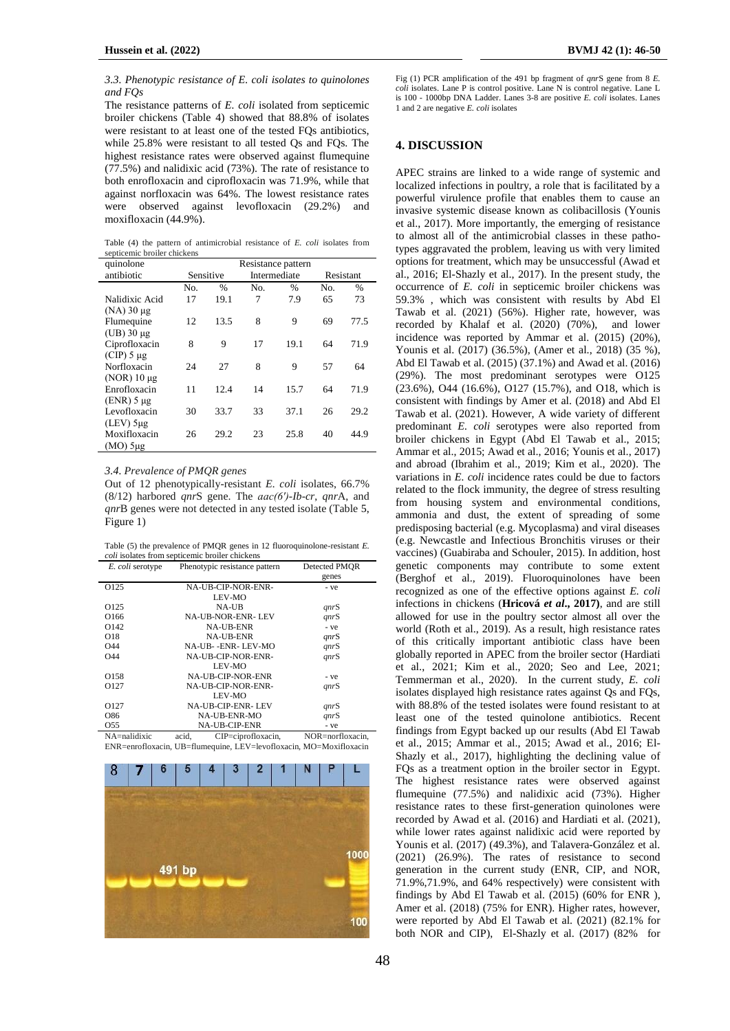#### *3.3. Phenotypic resistance of E. coli isolates to quinolones and FQs*

The resistance patterns of *E. coli* isolated from septicemic broiler chickens (Table 4) showed that 88.8% of isolates were resistant to at least one of the tested FQs antibiotics, while 25.8% were resistant to all tested Qs and FQs. The highest resistance rates were observed against flumequine (77.5%) and nalidixic acid (73%). The rate of resistance to both enrofloxacin and ciprofloxacin was 71.9%, while that against norfloxacin was 64%. The lowest resistance rates were observed against levofloxacin (29.2%) and moxifloxacin (44.9%).

Table (4) the pattern of antimicrobial resistance of *E. coli* isolates from septicemic broiler chickens

| quinolone         | Resistance pattern |               |              |               |     |               |
|-------------------|--------------------|---------------|--------------|---------------|-----|---------------|
| antibiotic        |                    | Sensitive     | Intermediate |               |     | Resistant     |
|                   | No.                | $\frac{0}{0}$ | No.          | $\frac{0}{0}$ | No. | $\frac{0}{0}$ |
| Nalidixic Acid    | 17                 | 19.1          | 7            | 7.9           | 65  | 73            |
| $(NA)$ 30 $\mu$ g |                    |               |              |               |     |               |
| Flumequine        | 12                 | 13.5          | 8            | 9             | 69  | 77.5          |
| $(UB)$ 30 $\mu$ g |                    |               |              |               |     |               |
| Ciprofloxacin     | 8                  | 9             | 17           | 19.1          | 64  | 71.9          |
| $(CIP)$ 5 µg      |                    |               |              |               |     |               |
| Norfloxacin       | 24                 | 27            | 8            | 9             | 57  | 64            |
| $(NOR)$ 10 µg     |                    |               |              |               |     |               |
| Enrofloxacin      | 11                 | 12.4          | 14           | 15.7          | 64  | 71.9          |
| $(ENR)$ 5 µg      |                    |               |              |               |     |               |
| Levofloxacin      | 30                 | 33.7          | 33           | 37.1          | 26  | 29.2          |
| $(LEV)$ 5µg       |                    |               |              |               |     |               |
| Moxifloxacin      | 26                 | 29.2          | 23           | 25.8          | 40  | 44.9          |
| $(MO)$ 5µg        |                    |               |              |               |     |               |

#### *3.4. Prevalence of PMQR genes*

Out of 12 phenotypically-resistant *E. coli* isolates, 66.7% (8/12) harbored *qnr*S gene. The *aac(6′)-Ib-cr*, *qnr*A, and *qnr*B genes were not detected in any tested isolate (Table 5, Figure 1)

Table (5) the prevalence of PMQR genes in 12 fluoroquinolone-resistant *E. coli* isolates from septicemic broiler chickens

| E. coli serotype | Phenotypic resistance pattern | Detected PMOR |
|------------------|-------------------------------|---------------|
|                  |                               | genes         |
| O <sub>125</sub> | <b>NA-UB-CIP-NOR-ENR-</b>     | - ve          |
|                  | LEV-MO                        |               |
| O <sub>125</sub> | <b>NA-UB</b>                  | <i>anrS</i>   |
| O166             | <b>NA-UB-NOR-ENR-LEV</b>      | qnrS          |
| O <sub>142</sub> | <b>NA-UB-ENR</b>              | - ve          |
| O18              | <b>NA-UB-ENR</b>              | qnrS          |
| O <sub>44</sub>  | NA-UB--ENR-LEV-MO             | qnrS          |
| O44              | NA-UB-CIP-NOR-ENR-            | <i>anrS</i>   |
|                  | LEV-MO                        |               |
| O158             | NA-UB-CIP-NOR-ENR             | - ve          |
| O <sub>127</sub> | NA-UB-CIP-NOR-ENR-            | qnrS          |
|                  | LEV-MO                        |               |
| O <sub>127</sub> | <b>NA-UB-CIP-ENR-LEV</b>      | <i>anrS</i>   |
| O86              | NA-UB-ENR-MO                  | qnrS          |
| O <sub>55</sub>  | <b>NA-UB-CIP-ENR</b>          | - ve          |

NA=nalidixic acid, CIP=ciprofloxacin, NOR=norfloxacin, ENR=enrofloxacin, UB=flumequine, LEV=levofloxacin, MO=Moxifloxacin



Fig (1) PCR amplification of the 491 bp fragment of *qnr*S gene from 8 *E. coli* isolates. Lane P is control positive. Lane N is control negative. Lane L is 100 - 1000bp DNA Ladder. Lanes 3-8 are positive *E. coli* isolates. Lanes 1 and 2 are negative *E. coli* isolates

# **4. DISCUSSION**

APEC strains are linked to a wide range of systemic and localized infections in poultry, a role that is facilitated by a powerful virulence profile that enables them to cause an invasive systemic disease known as colibacillosis (Younis et al., 2017). More importantly, the emerging of resistance to almost all of the antimicrobial classes in these pathotypes aggravated the problem, leaving us with very limited options for treatment, which may be unsuccessful (Awad et al., 2016; El-Shazly et al., 2017). In the present study, the occurrence of *E. coli* in septicemic broiler chickens was 59.3% , which was consistent with results by Abd El Tawab et al. (2021) (56%). Higher rate, however, was recorded by Khalaf et al. (2020) (70%), and lower incidence was reported by Ammar et al. (2015) (20%), Younis et al. (2017) (36.5%), (Amer et al., 2018) (35 %), Abd El Tawab et al. (2015) (37.1%) and Awad et al. (2016) (29%). The most predominant serotypes were O125 (23.6%), O44 (16.6%), O127 (15.7%), and O18, which is consistent with findings by Amer et al. (2018) and Abd El Tawab et al. (2021). However, A wide variety of different predominant *E. coli* serotypes were also reported from broiler chickens in Egypt (Abd El Tawab et al., 2015; Ammar et al., 2015; Awad et al., 2016; Younis et al., 2017) and abroad (Ibrahim et al., 2019; Kim et al., 2020). The variations in *E. coli* incidence rates could be due to factors related to the flock immunity, the degree of stress resulting from housing system and environmental conditions, ammonia and dust, the extent of spreading of some predisposing bacterial (e.g. Mycoplasma) and viral diseases (e.g. Newcastle and Infectious Bronchitis viruses or their vaccines) (Guabiraba and Schouler, 2015). In addition, host genetic components may contribute to some extent (Berghof et al., 2019). Fluoroquinolones have been recognized as one of the effective options against *E. coli* infections in chickens (**Hricová** *et al***., 2017)**, and are still allowed for use in the poultry sector almost all over the world (Roth et al., 2019). As a result, high resistance rates of this critically important antibiotic class have been globally reported in APEC from the broiler sector (Hardiati et al., 2021; Kim et al., 2020; Seo and Lee, 2021; Temmerman et al., 2020). In the current study, *E. coli* isolates displayed high resistance rates against Qs and FQs, with 88.8% of the tested isolates were found resistant to at least one of the tested quinolone antibiotics. Recent findings from Egypt backed up our results (Abd El Tawab et al., 2015; Ammar et al., 2015; Awad et al., 2016; El-Shazly et al., 2017), highlighting the declining value of FQs as a treatment option in the broiler sector in Egypt. The highest resistance rates were observed against flumequine (77.5%) and nalidixic acid (73%). Higher resistance rates to these first-generation quinolones were recorded by Awad et al. (2016) and Hardiati et al. (2021), while lower rates against nalidixic acid were reported by Younis et al. (2017) (49.3%), and Talavera-González et al. (2021) (26.9%). The rates of resistance to second generation in the current study (ENR, CIP, and NOR, 71.9%,71.9%, and 64% respectively) were consistent with findings by Abd El Tawab et al. (2015) (60% for ENR ), Amer et al. (2018) (75% for ENR). Higher rates, however, were reported by Abd El Tawab et al. (2021) (82.1% for both NOR and CIP), El-Shazly et al. (2017) (82% for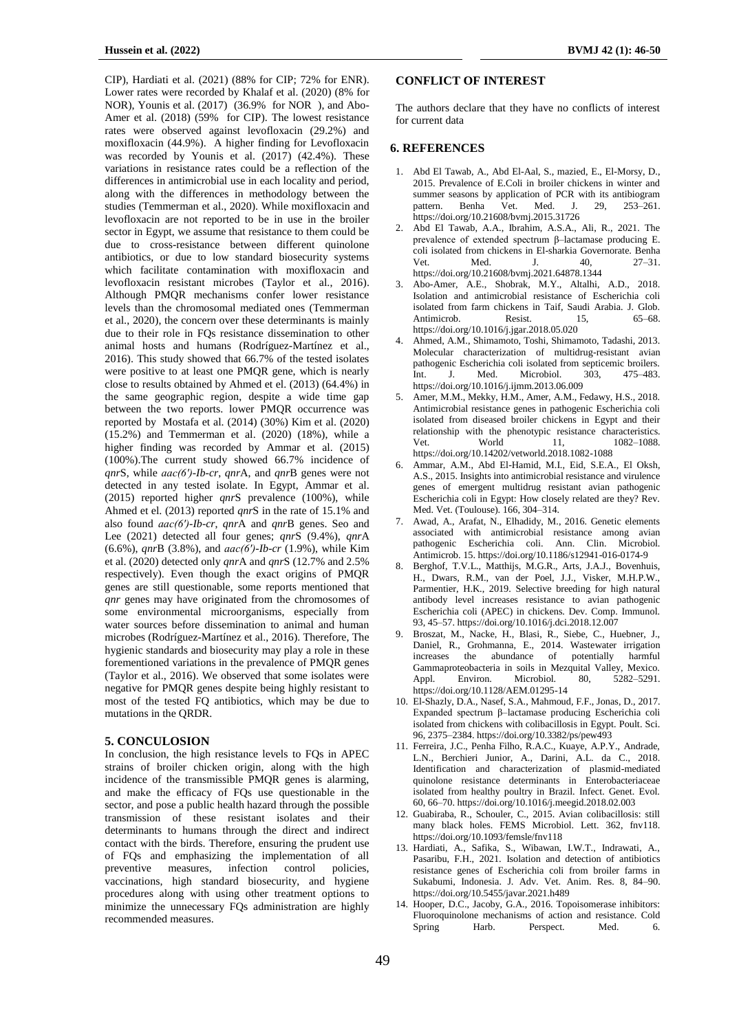CIP), Hardiati et al. (2021) (88% for CIP; 72% for ENR). Lower rates were recorded by Khalaf et al. (2020) (8% for NOR), Younis et al. (2017) (36.9% for NOR ), and Abo-Amer et al. (2018) (59% for CIP). The lowest resistance rates were observed against levofloxacin (29.2%) and moxifloxacin (44.9%). A higher finding for Levofloxacin was recorded by Younis et al. (2017) (42.4%). These variations in resistance rates could be a reflection of the differences in antimicrobial use in each locality and period, along with the differences in methodology between the studies (Temmerman et al., 2020). While moxifloxacin and levofloxacin are not reported to be in use in the broiler sector in Egypt, we assume that resistance to them could be due to cross-resistance between different quinolone antibiotics, or due to low standard biosecurity systems which facilitate contamination with moxifloxacin and levofloxacin resistant microbes (Taylor et al., 2016). Although PMQR mechanisms confer lower resistance levels than the chromosomal mediated ones (Temmerman et al., 2020), the concern over these determinants is mainly due to their role in FQs resistance dissemination to other animal hosts and humans (Rodríguez-Martínez et al., 2016). This study showed that 66.7% of the tested isolates were positive to at least one PMQR gene, which is nearly close to results obtained by Ahmed et el. (2013) (64.4%) in the same geographic region, despite a wide time gap between the two reports. lower PMQR occurrence was reported by Mostafa et al. (2014) (30%) Kim et al. (2020) (15.2%) and Temmerman et al. (2020) (18%), while a higher finding was recorded by Ammar et al. (2015) (100%).The current study showed 66.7% incidence of *qnr*S, while *aac(6′)-Ib-cr*, *qnr*A, and *qnr*B genes were not detected in any tested isolate. In Egypt, Ammar et al. (2015) reported higher *qnr*S prevalence (100%), while Ahmed et el. (2013) reported *qnr*S in the rate of 15.1% and also found *aac(6′)-Ib-cr*, *qnr*A and *qnr*B genes. Seo and Lee (2021) detected all four genes; *qnr*S (9.4%), *qnr*A (6.6%), *qnr*B (3.8%), and *aac(6′)-Ib-cr* (1.9%), while Kim et al. (2020) detected only *qnr*A and *qnr*S (12.7% and 2.5% respectively). Even though the exact origins of PMQR genes are still questionable, some reports mentioned that *qnr* genes may have originated from the chromosomes of some environmental microorganisms, especially from water sources before dissemination to animal and human microbes (Rodríguez-Martínez et al., 2016). Therefore, The hygienic standards and biosecurity may play a role in these forementioned variations in the prevalence of PMQR genes (Taylor et al., 2016). We observed that some isolates were negative for PMQR genes despite being highly resistant to most of the tested FQ antibiotics, which may be due to mutations in the QRDR.

## **5. CONCULOSION**

In conclusion, the high resistance levels to FQs in APEC strains of broiler chicken origin, along with the high incidence of the transmissible PMQR genes is alarming, and make the efficacy of FQs use questionable in the sector, and pose a public health hazard through the possible transmission of these resistant isolates and their determinants to humans through the direct and indirect contact with the birds. Therefore, ensuring the prudent use of FQs and emphasizing the implementation of all preventive measures, infection control policies, vaccinations, high standard biosecurity, and hygiene procedures along with using other treatment options to minimize the unnecessary FQs administration are highly recommended measures.

# **CONFLICT OF INTEREST**

The authors declare that they have no conflicts of interest for current data

## **6. REFERENCES**

- 1. Abd El Tawab, A., Abd El-Aal, S., mazied, E., El-Morsy, D., 2015. Prevalence of E.Coli in broiler chickens in winter and summer seasons by application of PCR with its antibiogram pattern. Benha Vet. Med. J. 29, 253–261. https://doi.org/10.21608/bvmj.2015.31726
- 2. Abd El Tawab, A.A., Ibrahim, A.S.A., Ali, R., 2021. The prevalence of extended spectrum β–lactamase producing E. coli isolated from chickens in El-sharkia Governorate. Benha Vet. Med. J. 40, 27–31. https://doi.org/10.21608/bvmj.2021.64878.1344
- 3. Abo-Amer, A.E., Shobrak, M.Y., Altalhi, A.D., 2018. Isolation and antimicrobial resistance of Escherichia coli isolated from farm chickens in Taif, Saudi Arabia. J. Glob. Antimicrob. Resist. 15, 65–68. https://doi.org/10.1016/j.jgar.2018.05.020
- 4. Ahmed, A.M., Shimamoto, Toshi, Shimamoto, Tadashi, 2013. Molecular characterization of multidrug-resistant avian pathogenic Escherichia coli isolated from septicemic broilers. Int. J. Med. Microbiol. 303, 475–483. https://doi.org/10.1016/j.ijmm.2013.06.009
- 5. Amer, M.M., Mekky, H.M., Amer, A.M., Fedawy, H.S., 2018. Antimicrobial resistance genes in pathogenic Escherichia coli isolated from diseased broiler chickens in Egypt and their relationship with the phenotypic resistance characteristics.<br>Vertex World 11. 1082-1088. World 11, 1082–1088. https://doi.org/10.14202/vetworld.2018.1082-1088
- 6. Ammar, A.M., Abd El-Hamid, M.I., Eid, S.E.A., El Oksh, A.S., 2015. Insights into antimicrobial resistance and virulence genes of emergent multidrug resistant avian pathogenic Escherichia coli in Egypt: How closely related are they? Rev. Med. Vet. (Toulouse). 166, 304–314.
- 7. Awad, A., Arafat, N., Elhadidy, M., 2016. Genetic elements associated with antimicrobial resistance among avian pathogenic Escherichia coli. Ann. Clin. Microbiol. Antimicrob. 15. https://doi.org/10.1186/s12941-016-0174-9
- 8. Berghof, T.V.L., Matthijs, M.G.R., Arts, J.A.J., Bovenhuis, H., Dwars, R.M., van der Poel, J.J., Visker, M.H.P.W., Parmentier, H.K., 2019. Selective breeding for high natural antibody level increases resistance to avian pathogenic Escherichia coli (APEC) in chickens. Dev. Comp. Immunol. 93, 45–57. https://doi.org/10.1016/j.dci.2018.12.007
- 9. Broszat, M., Nacke, H., Blasi, R., Siebe, C., Huebner, J., Daniel, R., Grohmanna, E., 2014. Wastewater irrigation increases the abundance of potentially harmful Gammaproteobacteria in soils in Mezquital Valley, Mexico. Appl. Environ. Microbiol. 80, 5282–5291. https://doi.org/10.1128/AEM.01295-14
- 10. El-Shazly, D.A., Nasef, S.A., Mahmoud, F.F., Jonas, D., 2017. Expanded spectrum β–lactamase producing Escherichia coli isolated from chickens with colibacillosis in Egypt. Poult. Sci. 96, 2375–2384. https://doi.org/10.3382/ps/pew493
- 11. Ferreira, J.C., Penha Filho, R.A.C., Kuaye, A.P.Y., Andrade, L.N., Berchieri Junior, A., Darini, A.L. da C., 2018. Identification and characterization of plasmid-mediated quinolone resistance determinants in Enterobacteriaceae isolated from healthy poultry in Brazil. Infect. Genet. Evol. 60, 66–70. https://doi.org/10.1016/j.meegid.2018.02.003
- 12. Guabiraba, R., Schouler, C., 2015. Avian colibacillosis: still many black holes. FEMS Microbiol. Lett. 362, fnv118. https://doi.org/10.1093/femsle/fnv118
- 13. Hardiati, A., Safika, S., Wibawan, I.W.T., Indrawati, A., Pasaribu, F.H., 2021. Isolation and detection of antibiotics resistance genes of Escherichia coli from broiler farms in Sukabumi, Indonesia. J. Adv. Vet. Anim. Res. 8, 84–90. https://doi.org/10.5455/javar.2021.h489
- 14. Hooper, D.C., Jacoby, G.A., 2016. Topoisomerase inhibitors: Fluoroquinolone mechanisms of action and resistance. Cold Spring Harb. Perspect. Med. 6.